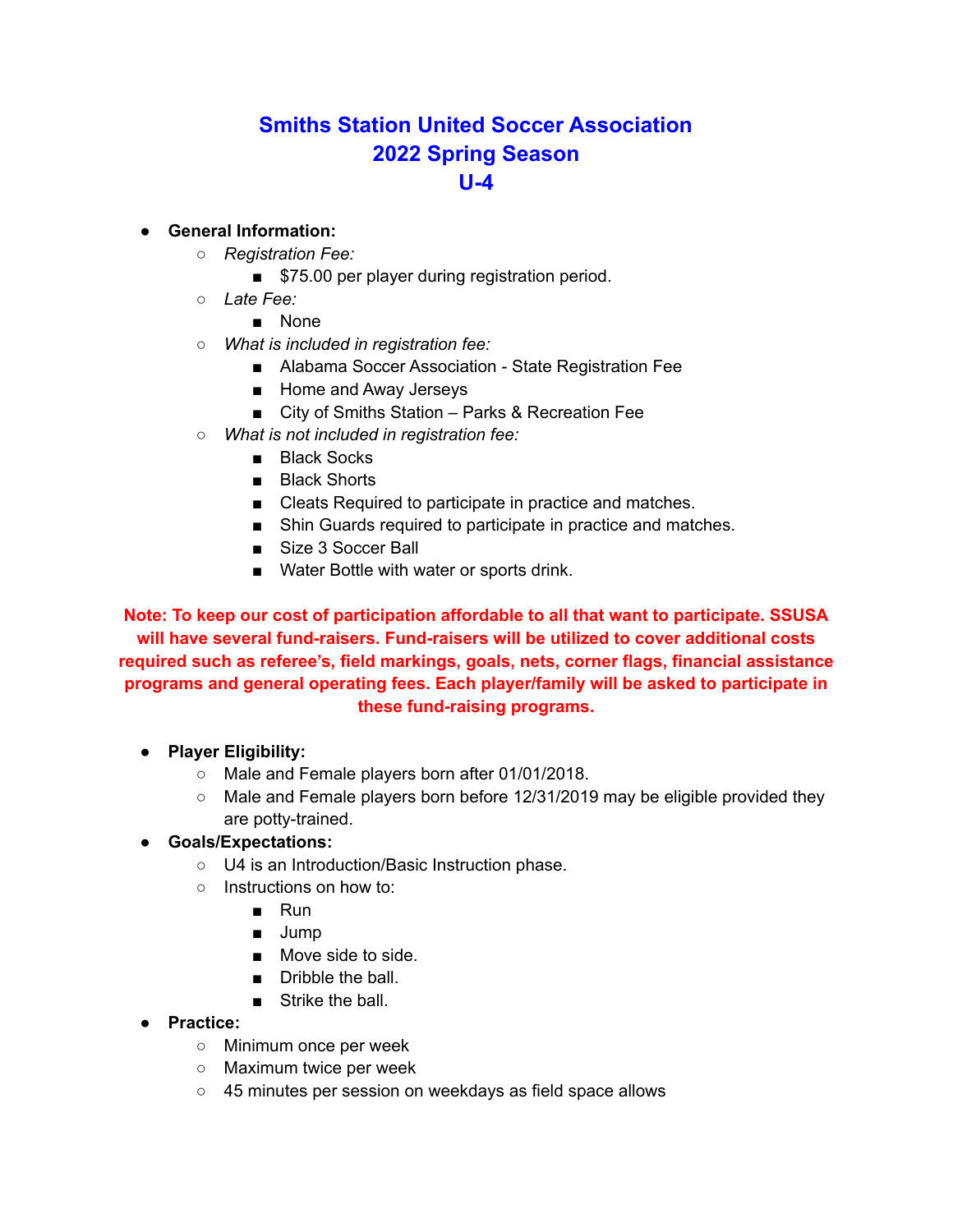# **Smiths Station United Soccer Association 2022 Spring Season U-4**

#### ● **General Information:**

- *Registration Fee:*
	- \$75.00 per player during registration period.
- *Late Fee:*
	- None
- *What is included in registration fee:*
	- Alabama Soccer Association State Registration Fee
	- Home and Away Jerseys
	- City of Smiths Station Parks & Recreation Fee
- *What is not included in registration fee:*
	- Black Socks
	- Black Shorts
	- Cleats Required to participate in practice and matches.
	- Shin Guards required to participate in practice and matches.
	- Size 3 Soccer Ball
	- Water Bottle with water or sports drink.

**Note: To keep our cost of participation affordable to all that want to participate. SSUSA will have several fund-raisers. Fund-raisers will be utilized to cover additional costs required such as referee's, field markings, goals, nets, corner flags, financial assistance programs and general operating fees. Each player/family will be asked to participate in these fund-raising programs.**

- **Player Eligibility:**
	- Male and Female players born after 01/01/2018.
	- $\circ$  Male and Female players born before 12/31/2019 may be eligible provided they are potty-trained.

#### ● **Goals/Expectations:**

- U4 is an Introduction/Basic Instruction phase.
- Instructions on how to:
	- Run
	- Jump
	- Move side to side.
	- Dribble the ball.
	- Strike the ball.
- **Practice:**
	- Minimum once per week
	- Maximum twice per week
	- 45 minutes per session on weekdays as field space allows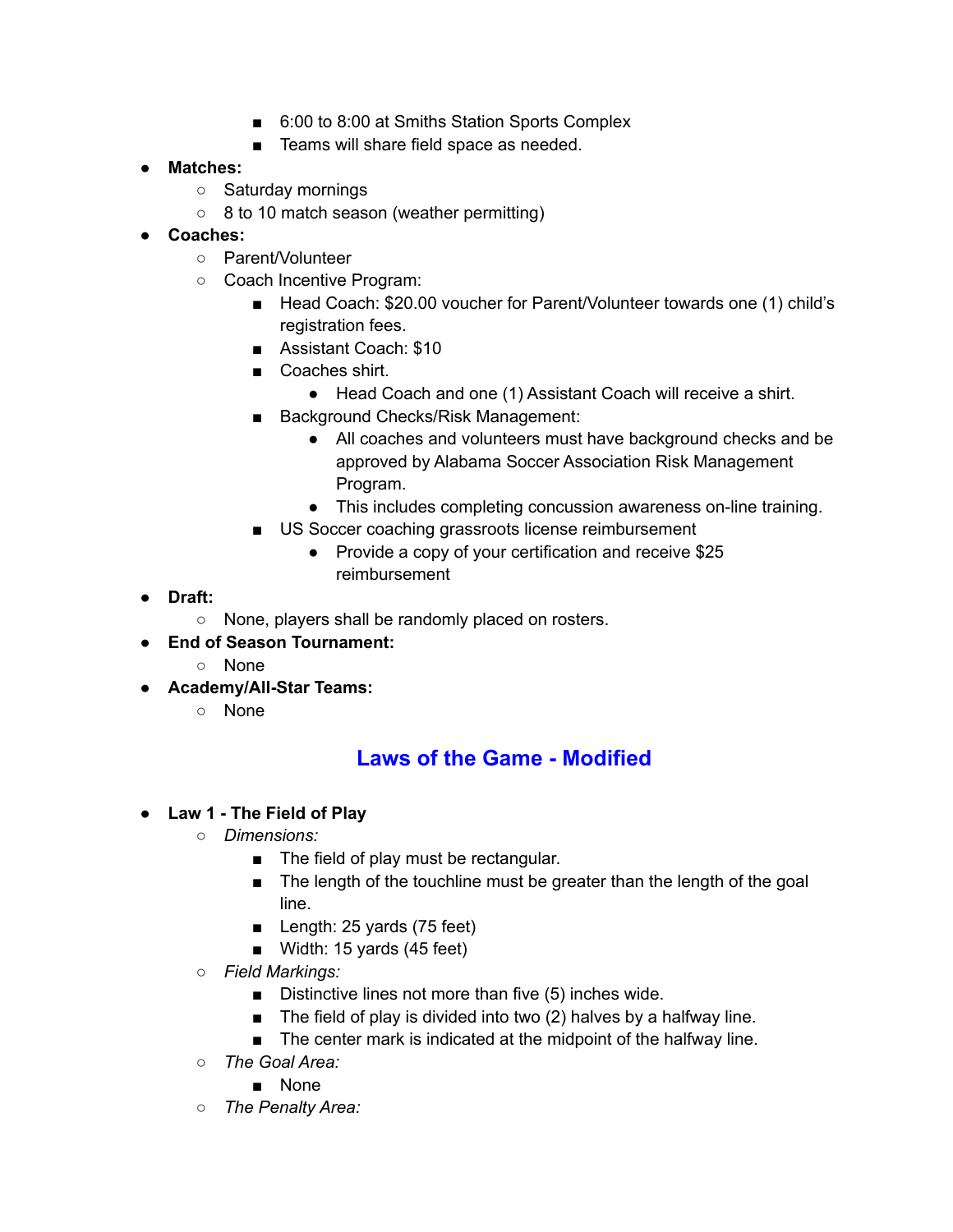- 6:00 to 8:00 at Smiths Station Sports Complex
- Teams will share field space as needed.

#### ● **Matches:**

- Saturday mornings
- 8 to 10 match season (weather permitting)
- **● Coaches:**
	- Parent/Volunteer
	- Coach Incentive Program:
		- Head Coach: \$20.00 voucher for Parent/Volunteer towards one (1) child's registration fees.
		- Assistant Coach: \$10
		- Coaches shirt.
			- Head Coach and one (1) Assistant Coach will receive a shirt.
		- Background Checks/Risk Management:
			- All coaches and volunteers must have background checks and be approved by Alabama Soccer Association Risk Management Program.
			- This includes completing concussion awareness on-line training.
		- US Soccer coaching grassroots license reimbursement
			- Provide a copy of your certification and receive \$25 reimbursement
- **● Draft:**
	- None, players shall be randomly placed on rosters.
- **● End of Season Tournament:**
	- None
- **● Academy/All-Star Teams:**
	- None

## **Laws of the Game - Modified**

- **● Law 1 - The Field of Play**
	- *○ Dimensions:*
		- The field of play must be rectangular.
		- The length of the touchline must be greater than the length of the goal line.
		- Length: 25 yards (75 feet)
		- Width: 15 yards (45 feet)
	- *○ Field Markings:*
		- Distinctive lines not more than five (5) inches wide.
		- The field of play is divided into two (2) halves by a halfway line.
		- The center mark is indicated at the midpoint of the halfway line.
	- *○ The Goal Area:*
		- None
	- *The Penalty Area:*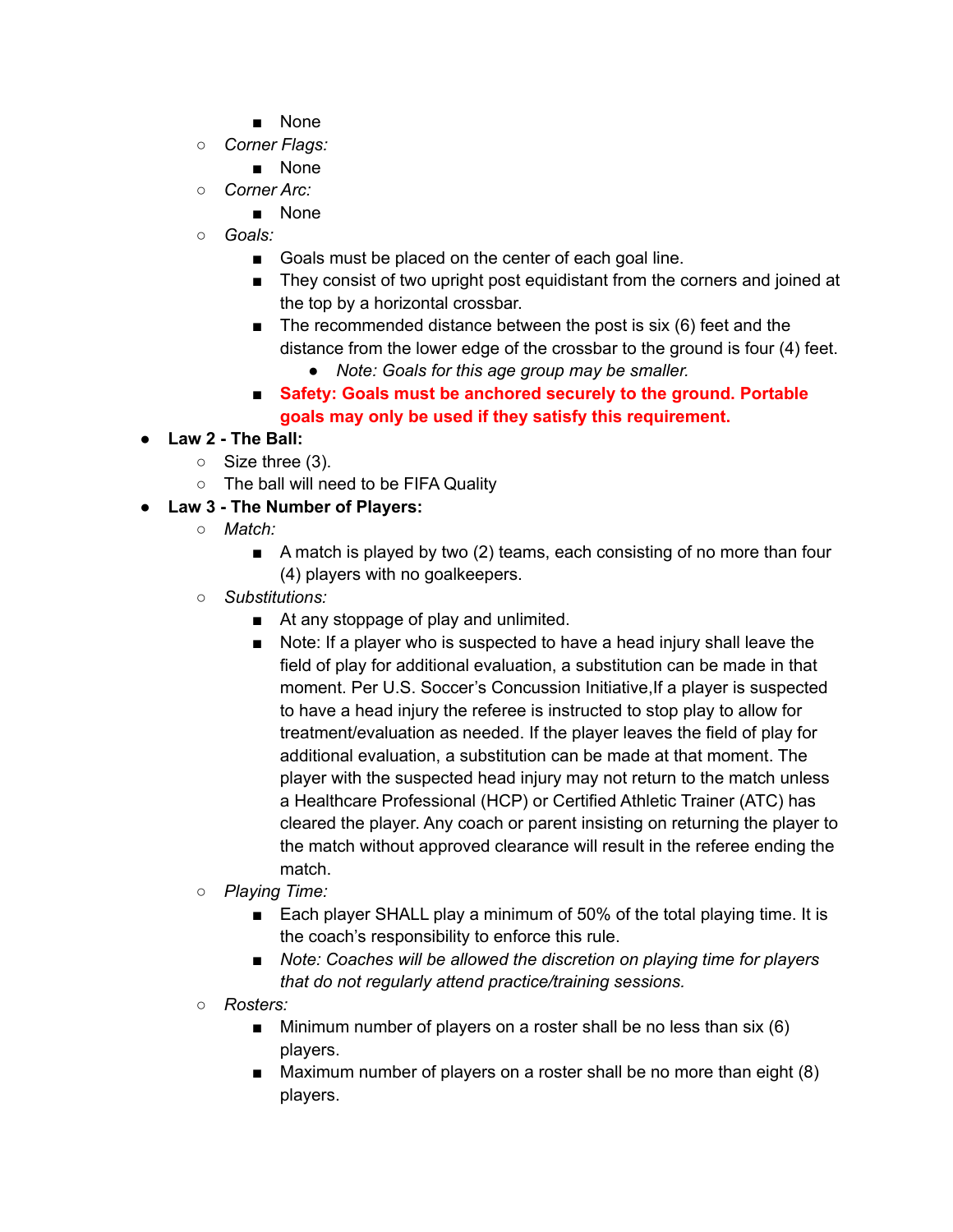- None
- *○ Corner Flags:*
	- None
- *Corner Arc:*
	- None
- *○ Goals:*
	- Goals must be placed on the center of each goal line.
	- They consist of two upright post equidistant from the corners and joined at the top by a horizontal crossbar.
	- $\blacksquare$  The recommended distance between the post is six (6) feet and the distance from the lower edge of the crossbar to the ground is four (4) feet.
		- *● Note: Goals for this age group may be smaller.*
	- *■* **Safety: Goals must be anchored securely to the ground. Portable goals may only be used if they satisfy this requirement.**

### **● Law 2 - The Ball:**

- Size three (3).
- The ball will need to be FIFA Quality
- **● Law 3 - The Number of Players:**
	- *○ Match:*
		- A match is played by two (2) teams, each consisting of no more than four (4) players with no goalkeepers.
	- *○ Substitutions:*
		- At any stoppage of play and unlimited.
		- Note: If a player who is suspected to have a head injury shall leave the field of play for additional evaluation, a substitution can be made in that moment. Per U.S. Soccer's Concussion Initiative, If a player is suspected to have a head injury the referee is instructed to stop play to allow for treatment/evaluation as needed. If the player leaves the field of play for additional evaluation, a substitution can be made at that moment. The player with the suspected head injury may not return to the match unless a Healthcare Professional (HCP) or Certified Athletic Trainer (ATC) has cleared the player. Any coach or parent insisting on returning the player to the match without approved clearance will result in the referee ending the match.
	- *○ Playing Time:*
		- Each player SHALL play a minimum of 50% of the total playing time. It is the coach's responsibility to enforce this rule.
		- *■ Note: Coaches will be allowed the discretion on playing time for players that do not regularly attend practice/training sessions.*
	- *○ Rosters:*
		- $\blacksquare$  Minimum number of players on a roster shall be no less than six (6) players.
		- Maximum number of players on a roster shall be no more than eight (8) players.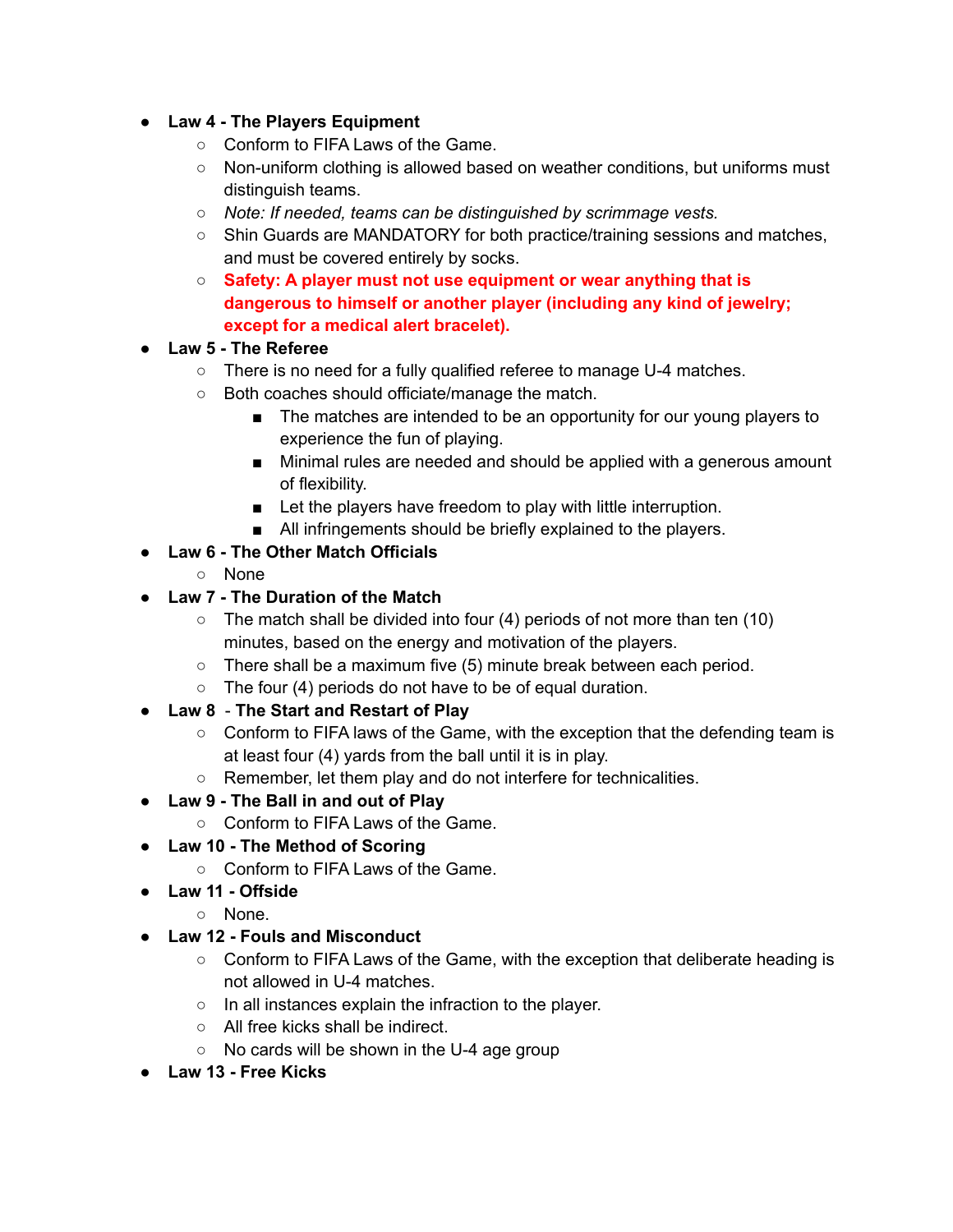- **● Law 4 - The Players Equipment**
	- Conform to FIFA Laws of the Game.
	- Non-uniform clothing is allowed based on weather conditions, but uniforms must distinguish teams.
	- *○ Note: If needed, teams can be distinguished by scrimmage vests.*
	- Shin Guards are MANDATORY for both practice/training sessions and matches, and must be covered entirely by socks.
	- **Safety: A player must not use equipment or wear anything that is dangerous to himself or another player (including any kind of jewelry; except for a medical alert bracelet).**
- **● Law 5 - The Referee**
	- There is no need for a fully qualified referee to manage U-4 matches.
	- Both coaches should officiate/manage the match.
		- The matches are intended to be an opportunity for our young players to experience the fun of playing.
		- Minimal rules are needed and should be applied with a generous amount of flexibility.
		- Let the players have freedom to play with little interruption.
		- All infringements should be briefly explained to the players.
- **● Law 6 - The Other Match Officials**
	- None
- **● Law 7 - The Duration of the Match**
	- $\circ$  The match shall be divided into four (4) periods of not more than ten (10) minutes, based on the energy and motivation of the players.
	- There shall be a maximum five (5) minute break between each period.
	- $\circ$  The four (4) periods do not have to be of equal duration.
- **Law 8 The Start and Restart of Play**
	- Conform to FIFA laws of the Game, with the exception that the defending team is at least four (4) yards from the ball until it is in play.
	- Remember, let them play and do not interfere for technicalities.
- **● Law 9 - The Ball in and out of Play**
	- Conform to FIFA Laws of the Game.
- **● Law 10 - The Method of Scoring**
	- Conform to FIFA Laws of the Game.
- **● Law 11 - Offside**
	- None.
- **● Law 12 - Fouls and Misconduct**
	- Conform to FIFA Laws of the Game, with the exception that deliberate heading is not allowed in U-4 matches.
	- In all instances explain the infraction to the player.
	- All free kicks shall be indirect.
	- No cards will be shown in the U-4 age group
- **● Law 13 - Free Kicks**